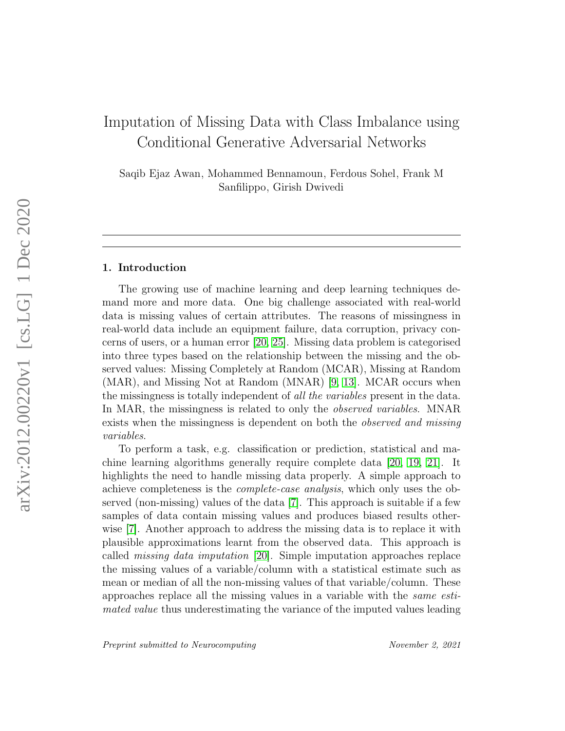# Imputation of Missing Data with Class Imbalance using Conditional Generative Adversarial Networks

Saqib Ejaz Awan, Mohammed Bennamoun, Ferdous Sohel, Frank M Sanfilippo, Girish Dwivedi

#### 1. Introduction

The growing use of machine learning and deep learning techniques demand more and more data. One big challenge associated with real-world data is missing values of certain attributes. The reasons of missingness in real-world data include an equipment failure, data corruption, privacy concerns of users, or a human error [\[20,](#page-17-0) [25\]](#page-17-1). Missing data problem is categorised into three types based on the relationship between the missing and the observed values: Missing Completely at Random (MCAR), Missing at Random (MAR), and Missing Not at Random (MNAR) [\[9,](#page-15-0) [13\]](#page-16-0). MCAR occurs when the missingness is totally independent of all the variables present in the data. In MAR, the missingness is related to only the *observed variables*. MNAR exists when the missingness is dependent on both the *observed and missing* variables.

To perform a task, e.g. classification or prediction, statistical and machine learning algorithms generally require complete data [\[20,](#page-17-0) [19,](#page-16-1) [21\]](#page-17-2). It highlights the need to handle missing data properly. A simple approach to achieve completeness is the complete-case analysis, which only uses the observed (non-missing) values of the data [\[7\]](#page-15-1). This approach is suitable if a few samples of data contain missing values and produces biased results otherwise [\[7\]](#page-15-1). Another approach to address the missing data is to replace it with plausible approximations learnt from the observed data. This approach is called missing data imputation [\[20\]](#page-17-0). Simple imputation approaches replace the missing values of a variable/column with a statistical estimate such as mean or median of all the non-missing values of that variable/column. These approaches replace all the missing values in a variable with the same estimated value thus underestimating the variance of the imputed values leading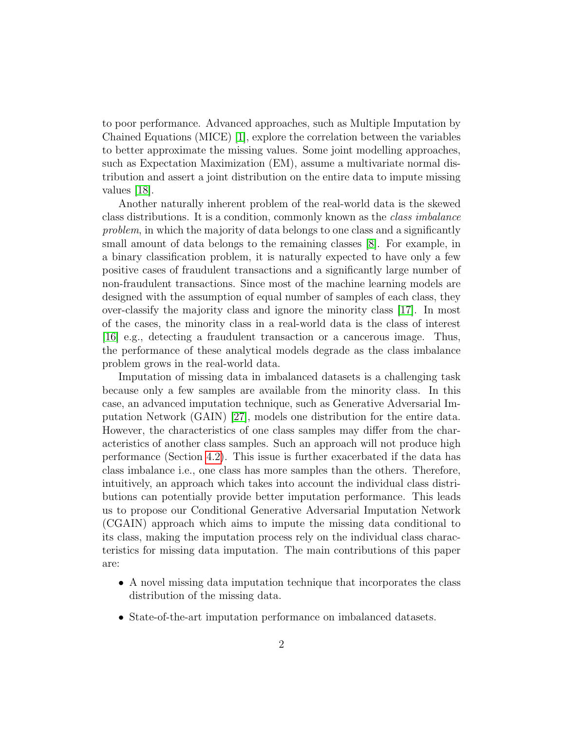to poor performance. Advanced approaches, such as Multiple Imputation by Chained Equations (MICE) [\[1\]](#page-15-2), explore the correlation between the variables to better approximate the missing values. Some joint modelling approaches, such as Expectation Maximization (EM), assume a multivariate normal distribution and assert a joint distribution on the entire data to impute missing values [\[18\]](#page-16-2).

Another naturally inherent problem of the real-world data is the skewed class distributions. It is a condition, commonly known as the class imbalance problem, in which the majority of data belongs to one class and a significantly small amount of data belongs to the remaining classes [\[8\]](#page-15-3). For example, in a binary classification problem, it is naturally expected to have only a few positive cases of fraudulent transactions and a significantly large number of non-fraudulent transactions. Since most of the machine learning models are designed with the assumption of equal number of samples of each class, they over-classify the majority class and ignore the minority class [\[17\]](#page-16-3). In most of the cases, the minority class in a real-world data is the class of interest [\[16\]](#page-16-4) e.g., detecting a fraudulent transaction or a cancerous image. Thus, the performance of these analytical models degrade as the class imbalance problem grows in the real-world data.

Imputation of missing data in imbalanced datasets is a challenging task because only a few samples are available from the minority class. In this case, an advanced imputation technique, such as Generative Adversarial Imputation Network (GAIN) [\[27\]](#page-17-3), models one distribution for the entire data. However, the characteristics of one class samples may differ from the characteristics of another class samples. Such an approach will not produce high performance (Section [4.2\)](#page-10-0). This issue is further exacerbated if the data has class imbalance i.e., one class has more samples than the others. Therefore, intuitively, an approach which takes into account the individual class distributions can potentially provide better imputation performance. This leads us to propose our Conditional Generative Adversarial Imputation Network (CGAIN) approach which aims to impute the missing data conditional to its class, making the imputation process rely on the individual class characteristics for missing data imputation. The main contributions of this paper are:

- A novel missing data imputation technique that incorporates the class distribution of the missing data.
- State-of-the-art imputation performance on imbalanced datasets.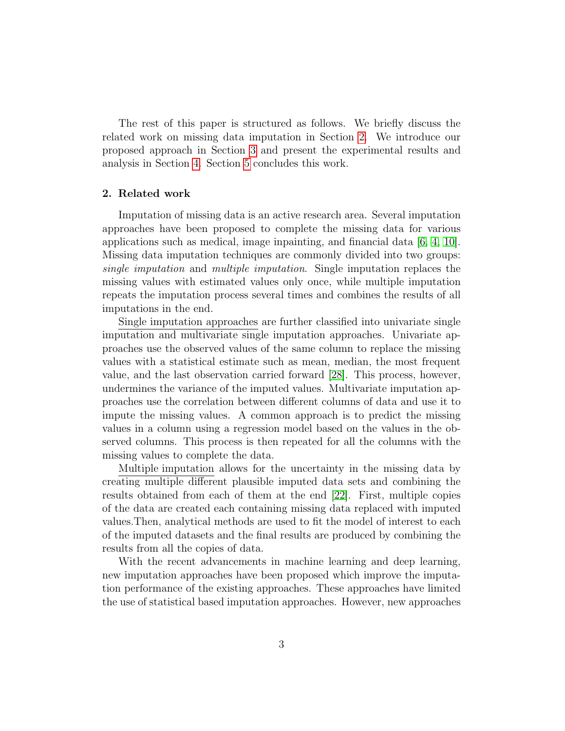The rest of this paper is structured as follows. We briefly discuss the related work on missing data imputation in Section [2.](#page-2-0) We introduce our proposed approach in Section [3](#page-4-0) and present the experimental results and analysis in Section [4.](#page-8-0) Section [5](#page-13-0) concludes this work.

#### <span id="page-2-0"></span>2. Related work

Imputation of missing data is an active research area. Several imputation approaches have been proposed to complete the missing data for various applications such as medical, image inpainting, and financial data  $[6, 4, 10]$  $[6, 4, 10]$  $[6, 4, 10]$ . Missing data imputation techniques are commonly divided into two groups: single imputation and multiple imputation. Single imputation replaces the missing values with estimated values only once, while multiple imputation repeats the imputation process several times and combines the results of all imputations in the end.

Single imputation approaches are further classified into univariate single imputation and multivariate single imputation approaches. Univariate approaches use the observed values of the same column to replace the missing values with a statistical estimate such as mean, median, the most frequent value, and the last observation carried forward [\[28\]](#page-17-4). This process, however, undermines the variance of the imputed values. Multivariate imputation approaches use the correlation between different columns of data and use it to impute the missing values. A common approach is to predict the missing values in a column using a regression model based on the values in the observed columns. This process is then repeated for all the columns with the missing values to complete the data.

Multiple imputation allows for the uncertainty in the missing data by creating multiple different plausible imputed data sets and combining the results obtained from each of them at the end [\[22\]](#page-17-5). First, multiple copies of the data are created each containing missing data replaced with imputed values.Then, analytical methods are used to fit the model of interest to each of the imputed datasets and the final results are produced by combining the results from all the copies of data.

With the recent advancements in machine learning and deep learning, new imputation approaches have been proposed which improve the imputation performance of the existing approaches. These approaches have limited the use of statistical based imputation approaches. However, new approaches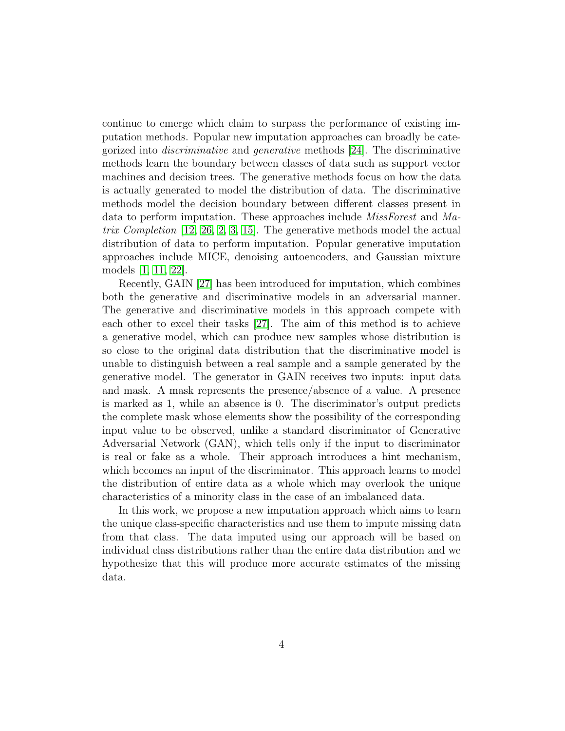continue to emerge which claim to surpass the performance of existing imputation methods. Popular new imputation approaches can broadly be categorized into discriminative and generative methods [\[24\]](#page-17-6). The discriminative methods learn the boundary between classes of data such as support vector machines and decision trees. The generative methods focus on how the data is actually generated to model the distribution of data. The discriminative methods model the decision boundary between different classes present in data to perform imputation. These approaches include MissForest and Matrix Completion [\[12,](#page-16-5) [26,](#page-17-7) [2,](#page-15-7) [3,](#page-15-8) [15\]](#page-16-6). The generative methods model the actual distribution of data to perform imputation. Popular generative imputation approaches include MICE, denoising autoencoders, and Gaussian mixture models [\[1,](#page-15-2) [11,](#page-16-7) [22\]](#page-17-5).

Recently, GAIN [\[27\]](#page-17-3) has been introduced for imputation, which combines both the generative and discriminative models in an adversarial manner. The generative and discriminative models in this approach compete with each other to excel their tasks [\[27\]](#page-17-3). The aim of this method is to achieve a generative model, which can produce new samples whose distribution is so close to the original data distribution that the discriminative model is unable to distinguish between a real sample and a sample generated by the generative model. The generator in GAIN receives two inputs: input data and mask. A mask represents the presence/absence of a value. A presence is marked as 1, while an absence is 0. The discriminator's output predicts the complete mask whose elements show the possibility of the corresponding input value to be observed, unlike a standard discriminator of Generative Adversarial Network (GAN), which tells only if the input to discriminator is real or fake as a whole. Their approach introduces a hint mechanism, which becomes an input of the discriminator. This approach learns to model the distribution of entire data as a whole which may overlook the unique characteristics of a minority class in the case of an imbalanced data.

In this work, we propose a new imputation approach which aims to learn the unique class-specific characteristics and use them to impute missing data from that class. The data imputed using our approach will be based on individual class distributions rather than the entire data distribution and we hypothesize that this will produce more accurate estimates of the missing data.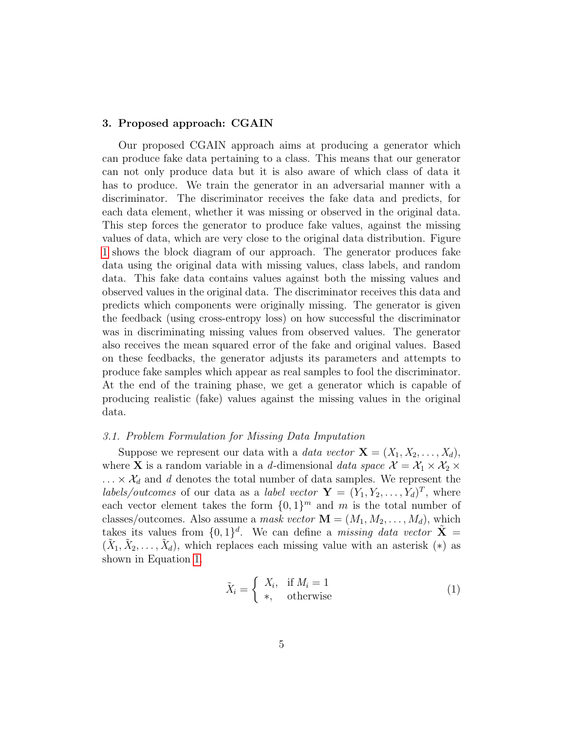#### <span id="page-4-0"></span>3. Proposed approach: CGAIN

Our proposed CGAIN approach aims at producing a generator which can produce fake data pertaining to a class. This means that our generator can not only produce data but it is also aware of which class of data it has to produce. We train the generator in an adversarial manner with a discriminator. The discriminator receives the fake data and predicts, for each data element, whether it was missing or observed in the original data. This step forces the generator to produce fake values, against the missing values of data, which are very close to the original data distribution. Figure [1](#page-5-0) shows the block diagram of our approach. The generator produces fake data using the original data with missing values, class labels, and random data. This fake data contains values against both the missing values and observed values in the original data. The discriminator receives this data and predicts which components were originally missing. The generator is given the feedback (using cross-entropy loss) on how successful the discriminator was in discriminating missing values from observed values. The generator also receives the mean squared error of the fake and original values. Based on these feedbacks, the generator adjusts its parameters and attempts to produce fake samples which appear as real samples to fool the discriminator. At the end of the training phase, we get a generator which is capable of producing realistic (fake) values against the missing values in the original data.

#### 3.1. Problem Formulation for Missing Data Imputation

Suppose we represent our data with a *data vector*  $\mathbf{X} = (X_1, X_2, \ldots, X_d)$ , where **X** is a random variable in a d-dimensional data space  $\mathcal{X} = \mathcal{X}_1 \times \mathcal{X}_2$  $\ldots \times \mathcal{X}_d$  and d denotes the total number of data samples. We represent the labels/outcomes of our data as a label vector  $\mathbf{Y} = (Y_1, Y_2, \dots, Y_d)^T$ , where each vector element takes the form  $\{0,1\}^m$  and m is the total number of classes/outcomes. Also assume a mask vector  $\mathbf{M} = (M_1, M_2, \ldots, M_d)$ , which takes its values from  $\{0,1\}^d$ . We can define a *missing data vector*  $\tilde{\mathbf{X}} =$  $(\tilde{X}_1, \tilde{X}_2, \ldots, \tilde{X}_d)$ , which replaces each missing value with an asterisk  $(*)$  as shown in Equation [1.](#page-4-1)

<span id="page-4-1"></span>
$$
\tilde{X}_i = \begin{cases} X_i, & \text{if } M_i = 1 \\ *, & \text{otherwise} \end{cases}
$$
\n(1)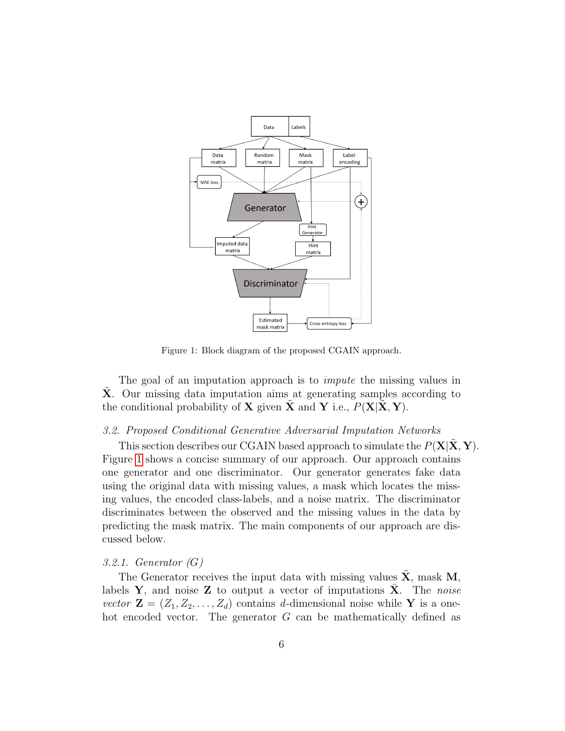

<span id="page-5-0"></span>Figure 1: Block diagram of the proposed CGAIN approach.

The goal of an imputation approach is to *impute* the missing values in X. Our missing data imputation aims at generating samples according to the conditional probability of **X** given **X** and **Y** i.e.,  $P(X|X, Y)$ .

## 3.2. Proposed Conditional Generative Adversarial Imputation Networks

This section describes our CGAIN based approach to simulate the  $P(X|X, Y)$ . Figure [1](#page-5-0) shows a concise summary of our approach. Our approach contains one generator and one discriminator. Our generator generates fake data using the original data with missing values, a mask which locates the missing values, the encoded class-labels, and a noise matrix. The discriminator discriminates between the observed and the missing values in the data by predicting the mask matrix. The main components of our approach are discussed below.

#### 3.2.1. Generator (G)

The Generator receives the input data with missing values  $\tilde{\mathbf{X}}$ , mask M, labels Y, and noise Z to output a vector of imputations X. The noise vector  $\mathbf{Z} = (Z_1, Z_2, \ldots, Z_d)$  contains d-dimensional noise while Y is a onehot encoded vector. The generator G can be mathematically defined as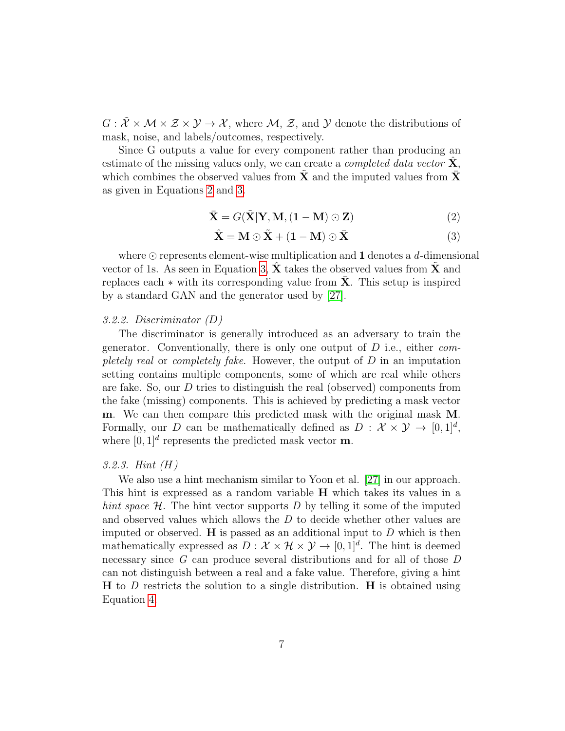$G: \tilde{\mathcal{X}} \times \mathcal{M} \times \mathcal{Z} \times \mathcal{Y} \to \mathcal{X}$ , where  $\mathcal{M}, \mathcal{Z}$ , and  $\mathcal{Y}$  denote the distributions of mask, noise, and labels/outcomes, respectively.

Since G outputs a value for every component rather than producing an estimate of the missing values only, we can create a *completed data vector*  $\mathbf{X}$ , which combines the observed values from **X** and the imputed values from  $\bar{\mathbf{X}}$ as given in Equations [2](#page-6-0) and [3.](#page-6-1)

<span id="page-6-0"></span>
$$
\bar{\mathbf{X}} = G(\tilde{\mathbf{X}}|\mathbf{Y}, \mathbf{M}, (\mathbf{1} - \mathbf{M}) \odot \mathbf{Z})
$$
\n(2)

<span id="page-6-1"></span>
$$
\hat{\mathbf{X}} = \mathbf{M} \odot \tilde{\mathbf{X}} + (\mathbf{1} - \mathbf{M}) \odot \bar{\mathbf{X}} \tag{3}
$$

where  $\odot$  represents element-wise multiplication and 1 denotes a d-dimensional vector of 1s. As seen in Equation [3,](#page-6-1)  $X$  takes the observed values from  $X$  and replaces each  $*$  with its corresponding value from  $X$ . This setup is inspired by a standard GAN and the generator used by [\[27\]](#page-17-3).

#### 3.2.2. Discriminator (D)

The discriminator is generally introduced as an adversary to train the generator. Conventionally, there is only one output of  $D$  i.e., either *com*pletely real or completely fake. However, the output of  $D$  in an imputation setting contains multiple components, some of which are real while others are fake. So, our  $D$  tries to distinguish the real (observed) components from the fake (missing) components. This is achieved by predicting a mask vector m. We can then compare this predicted mask with the original mask M. Formally, our D can be mathematically defined as  $D: \mathcal{X} \times \mathcal{Y} \to [0,1]^d$ , where  $[0,1]^d$  represents the predicted mask vector **m**.

## 3.2.3. Hint (H)

We also use a hint mechanism similar to Yoon et al. [\[27\]](#page-17-3) in our approach. This hint is expressed as a random variable H which takes its values in a hint space  $\mathcal{H}$ . The hint vector supports D by telling it some of the imputed and observed values which allows the D to decide whether other values are imputed or observed.  $\bf{H}$  is passed as an additional input to  $D$  which is then mathematically expressed as  $D: \mathcal{X} \times \mathcal{H} \times \mathcal{Y} \to [0, 1]^d$ . The hint is deemed necessary since G can produce several distributions and for all of those D can not distinguish between a real and a fake value. Therefore, giving a hint  **to D restricts the solution to a single distribution.**  $**H**$  **is obtained using** Equation [4.](#page-7-0)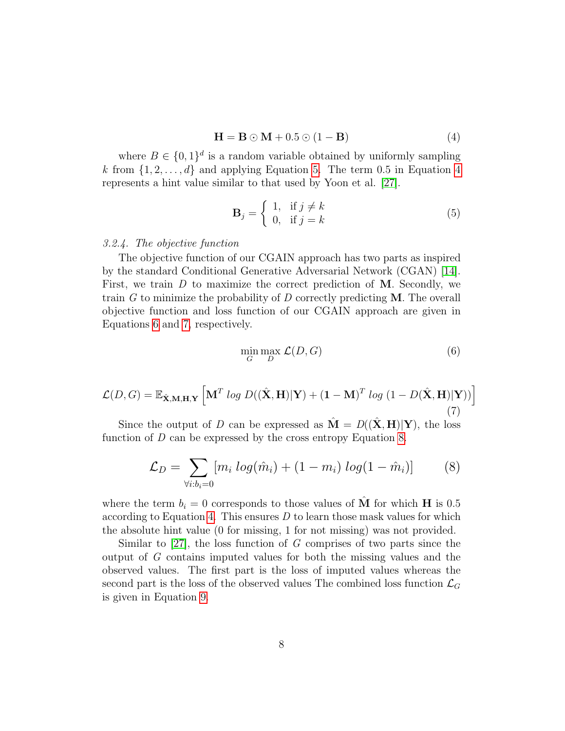<span id="page-7-0"></span>
$$
\mathbf{H} = \mathbf{B} \odot \mathbf{M} + 0.5 \odot (1 - \mathbf{B}) \tag{4}
$$

where  $B \in \{0,1\}^d$  is a random variable obtained by uniformly sampling k from  $\{1, 2, \ldots, d\}$  and applying Equation [5.](#page-7-1) The term 0.5 in Equation [4](#page-7-0) represents a hint value similar to that used by Yoon et al. [\[27\]](#page-17-3).

<span id="page-7-1"></span>
$$
\mathbf{B}_{j} = \begin{cases} 1, & \text{if } j \neq k \\ 0, & \text{if } j = k \end{cases}
$$
 (5)

3.2.4. The objective function

The objective function of our CGAIN approach has two parts as inspired by the standard Conditional Generative Adversarial Network (CGAN) [\[14\]](#page-16-8). First, we train  $D$  to maximize the correct prediction of M. Secondly, we train  $G$  to minimize the probability of  $D$  correctly predicting  $M$ . The overall objective function and loss function of our CGAIN approach are given in Equations [6](#page-7-2) and [7,](#page-7-3) respectively.

<span id="page-7-2"></span>
$$
\min_{G} \max_{D} \mathcal{L}(D, G) \tag{6}
$$

<span id="page-7-3"></span>
$$
\mathcal{L}(D, G) = \mathbb{E}_{\hat{\mathbf{X}}, \mathbf{M}, \mathbf{H}, \mathbf{Y}} \left[ \mathbf{M}^T \log D((\hat{\mathbf{X}}, \mathbf{H}) | \mathbf{Y}) + (\mathbf{1} - \mathbf{M})^T \log (1 - D(\hat{\mathbf{X}}, \mathbf{H}) | \mathbf{Y})) \right]
$$
(7)

Since the output of D can be expressed as  $\hat{\mathbf{M}} = D((\hat{\mathbf{X}}, \mathbf{H})|\mathbf{Y})$ , the loss function of D can be expressed by the cross entropy Equation [8.](#page-7-4)

<span id="page-7-4"></span>
$$
\mathcal{L}_D = \sum_{\forall i:b_i=0} [m_i \log(\hat{m}_i) + (1 - m_i) \log(1 - \hat{m}_i)] \tag{8}
$$

where the term  $b_i = 0$  corresponds to those values of **M** for which **H** is 0.5 according to Equation [4.](#page-7-0) This ensures  $D$  to learn those mask values for which the absolute hint value (0 for missing, 1 for not missing) was not provided.

Similar to  $[27]$ , the loss function of G comprises of two parts since the output of G contains imputed values for both the missing values and the observed values. The first part is the loss of imputed values whereas the second part is the loss of the observed values The combined loss function  $\mathcal{L}_G$ is given in Equation [9.](#page-8-1)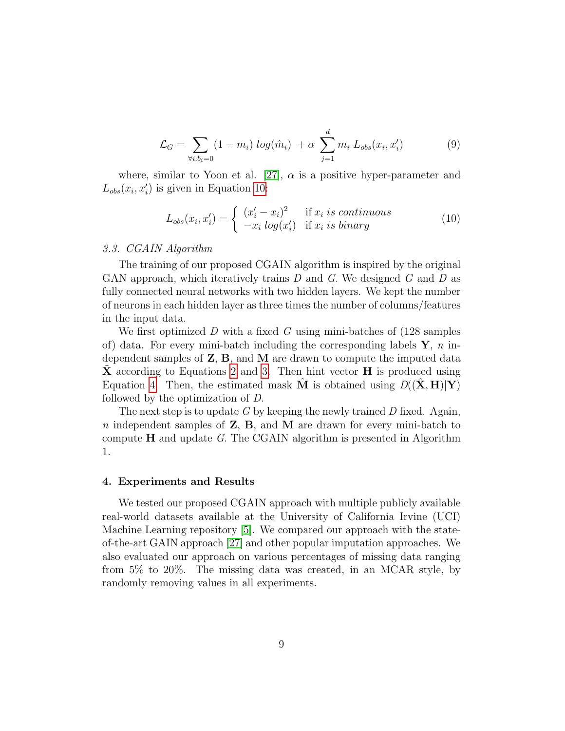<span id="page-8-1"></span>
$$
\mathcal{L}_G = \sum_{\forall i:b_i=0} (1 - m_i) \log(\hat{m}_i) + \alpha \sum_{j=1}^d m_i L_{obs}(x_i, x'_i)
$$
(9)

where, similar to Yoon et al. [\[27\]](#page-17-3),  $\alpha$  is a positive hyper-parameter and  $L_{obs}(x_i, x'_i)$  is given in Equation [10:](#page-8-2)

<span id="page-8-2"></span>
$$
L_{obs}(x_i, x_i') = \begin{cases} (x_i' - x_i)^2 & \text{if } x_i \text{ is continuous} \\ -x_i \log(x_i') & \text{if } x_i \text{ is binary} \end{cases}
$$
(10)

#### 3.3. CGAIN Algorithm

The training of our proposed CGAIN algorithm is inspired by the original GAN approach, which iteratively trains  $D$  and  $G$ . We designed  $G$  and  $D$  as fully connected neural networks with two hidden layers. We kept the number of neurons in each hidden layer as three times the number of columns/features in the input data.

We first optimized  $D$  with a fixed  $G$  using mini-batches of (128 samples of) data. For every mini-batch including the corresponding labels  $\mathbf{Y}$ , n independent samples of  $\mathbf{Z}, \mathbf{B}$ , and  $\mathbf{M}$  are drawn to compute the imputed data  $\bf{X}$  according to Equations [2](#page-6-0) and [3.](#page-6-1) Then hint vector  $\bf{H}$  is produced using Equation [4.](#page-7-0) Then, the estimated mask M is obtained using  $D((\tilde{\mathbf{X}}, \mathbf{H})|\mathbf{Y})$ followed by the optimization of D.

The next step is to update G by keeping the newly trained D fixed. Again, n independent samples of  $Z$ ,  $B$ , and  $M$  are drawn for every mini-batch to compute  $H$  and update G. The CGAIN algorithm is presented in Algorithm 1.

## <span id="page-8-0"></span>4. Experiments and Results

We tested our proposed CGAIN approach with multiple publicly available real-world datasets available at the University of California Irvine (UCI) Machine Learning repository [\[5\]](#page-15-9). We compared our approach with the stateof-the-art GAIN approach [\[27\]](#page-17-3) and other popular imputation approaches. We also evaluated our approach on various percentages of missing data ranging from 5% to 20%. The missing data was created, in an MCAR style, by randomly removing values in all experiments.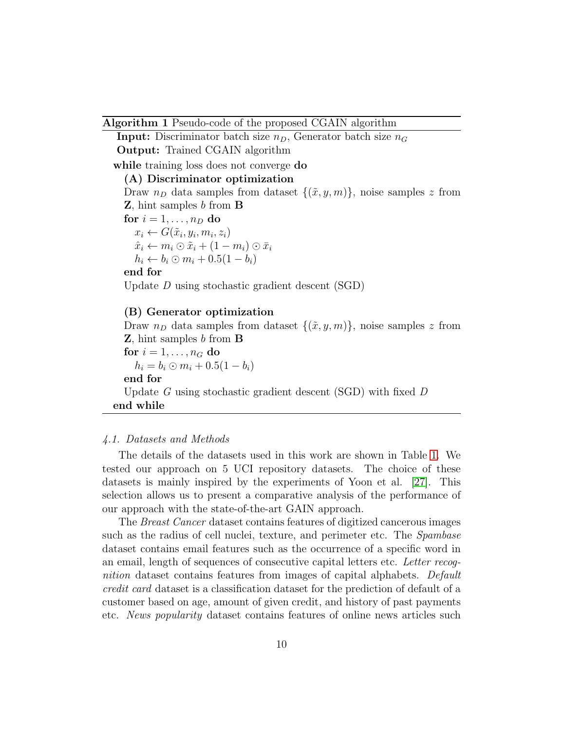#### Algorithm 1 Pseudo-code of the proposed CGAIN algorithm

**Input:** Discriminator batch size  $n_D$ , Generator batch size  $n_G$ Output: Trained CGAIN algorithm while training loss does not converge **do** (A) Discriminator optimization Draw  $n_D$  data samples from dataset  $\{(\tilde{x}, y, m)\}\$ , noise samples z from Z, hint samples b from B for  $i = 1, \ldots, n_D$  do  $x_i \leftarrow G(\tilde{x}_i, y_i, m_i, z_i)$  $\hat{x}_i \leftarrow m_i \odot \tilde{x}_i + (1 - m_i) \odot \bar{x}_i$  $h_i \leftarrow b_i \odot m_i + 0.5(1-b_i)$ end for Update D using stochastic gradient descent (SGD) (B) Generator optimization

Draw  $n_D$  data samples from dataset  $\{(\tilde{x}, y, m)\}\$ , noise samples z from **Z**, hint samples b from **B** for  $i = 1, \ldots, n_G$  do  $h_i = b_i \odot m_i + 0.5(1 - b_i)$ end for Update G using stochastic gradient descent (SGD) with fixed D end while

## 4.1. Datasets and Methods

The details of the datasets used in this work are shown in Table [1.](#page-10-1) We tested our approach on 5 UCI repository datasets. The choice of these datasets is mainly inspired by the experiments of Yoon et al. [\[27\]](#page-17-3). This selection allows us to present a comparative analysis of the performance of our approach with the state-of-the-art GAIN approach.

The Breast Cancer dataset contains features of digitized cancerous images such as the radius of cell nuclei, texture, and perimeter etc. The Spambase dataset contains email features such as the occurrence of a specific word in an email, length of sequences of consecutive capital letters etc. Letter recognition dataset contains features from images of capital alphabets. Default credit card dataset is a classification dataset for the prediction of default of a customer based on age, amount of given credit, and history of past payments etc. News popularity dataset contains features of online news articles such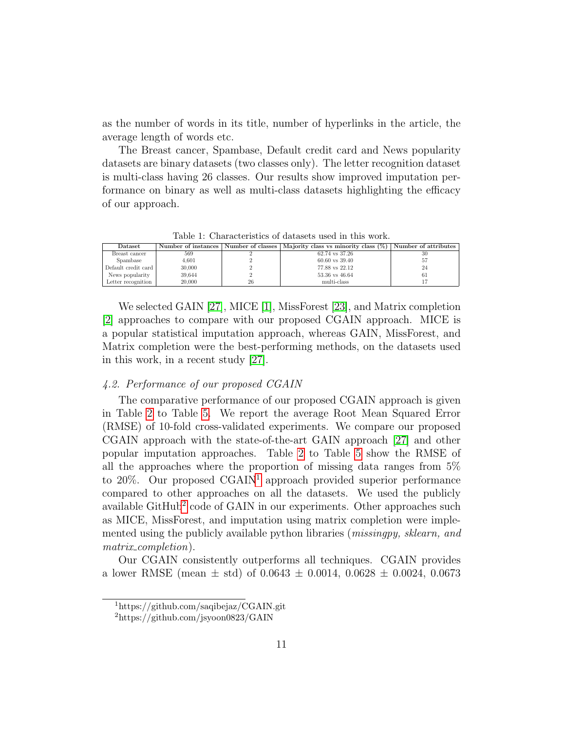as the number of words in its title, number of hyperlinks in the article, the average length of words etc.

The Breast cancer, Spambase, Default credit card and News popularity datasets are binary datasets (two classes only). The letter recognition dataset is multi-class having 26 classes. Our results show improved imputation performance on binary as well as multi-class datasets highlighting the efficacy of our approach.

Dataset Number of instances Number of classes Majority class vs minority class (%) Number of attributes Breast cancer 569 2 62.74 vs 37.26 30 Spambase  $4,601$  2 60.60 vs 39.40 57 Default credit card 30,000 <sup>2</sup> 77.88 vs 22.12 <sup>24</sup> News popularity  $39,644$  2  $53.36$  vs  $46.64$  61 Letter recognition  $20,000$  26 multi-class 17

<span id="page-10-1"></span>Table 1: Characteristics of datasets used in this work.

We selected GAIN [\[27\]](#page-17-3), MICE [\[1\]](#page-15-2), MissForest [\[23\]](#page-17-8), and Matrix completion [\[2\]](#page-15-7) approaches to compare with our proposed CGAIN approach. MICE is a popular statistical imputation approach, whereas GAIN, MissForest, and Matrix completion were the best-performing methods, on the datasets used in this work, in a recent study [\[27\]](#page-17-3).

## <span id="page-10-0"></span>4.2. Performance of our proposed CGAIN

The comparative performance of our proposed CGAIN approach is given in Table [2](#page-11-0) to Table [5.](#page-12-0) We report the average Root Mean Squared Error (RMSE) of 10-fold cross-validated experiments. We compare our proposed CGAIN approach with the state-of-the-art GAIN approach [\[27\]](#page-17-3) and other popular imputation approaches. Table [2](#page-11-0) to Table [5](#page-12-0) show the RMSE of all the approaches where the proportion of missing data ranges from 5% to  $20\%$ . Our proposed CGAIN<sup>[1](#page-10-2)</sup> approach provided superior performance compared to other approaches on all the datasets. We used the publicly available GitHub<sup>[2](#page-10-3)</sup> code of GAIN in our experiments. Other approaches such as MICE, MissForest, and imputation using matrix completion were implemented using the publicly available python libraries (*missingpy, sklearn, and* matrix\_completion).

Our CGAIN consistently outperforms all techniques. CGAIN provides a lower RMSE (mean  $\pm$  std) of 0.0643  $\pm$  0.0014, 0.0628  $\pm$  0.0024, 0.0673

<span id="page-10-2"></span><sup>1</sup>https://github.com/saqibejaz/CGAIN.git

<span id="page-10-3"></span><sup>2</sup>https://github.com/jsyoon0823/GAIN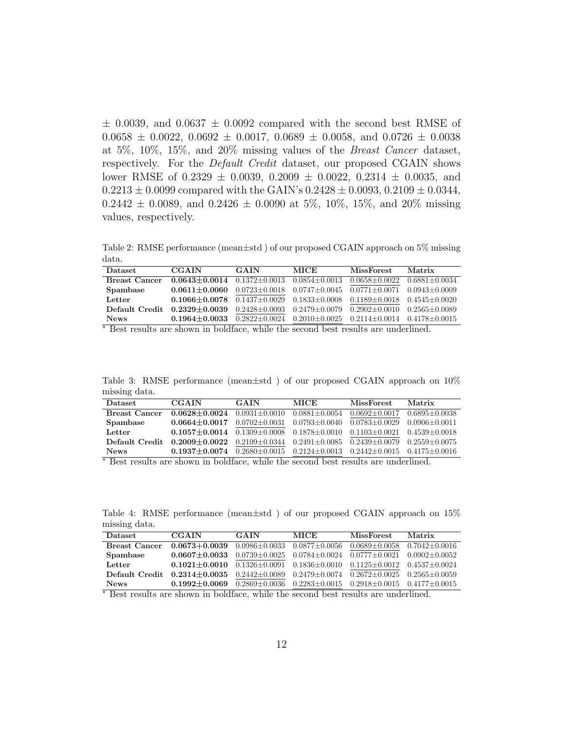$\pm$  0.0039, and 0.0637  $\pm$  0.0092 compared with the second best RMSE of  $0.0658 \pm 0.0022$ ,  $0.0692 \pm 0.0017$ ,  $0.0689 \pm 0.0058$ , and  $0.0726 \pm 0.0038$ at 5%, 10%, 15%, and 20% missing values of the Breast Cancer dataset, respectively. For the Default Credit dataset, our proposed CGAIN shows lower RMSE of 0.2329  $\pm$  0.0039, 0.2009  $\pm$  0.0022, 0.2314  $\pm$  0.0035, and  $0.2213 \pm 0.0099$  compared with the GAIN's  $0.2428 \pm 0.0093$ ,  $0.2109 \pm 0.0344$ ,  $0.2442 \pm 0.0089$ , and  $0.2426 \pm 0.0090$  at 5\%, 10\%, 15\%, and 20\% missing values, respectively.

<span id="page-11-0"></span>Table 2: RMSE performance (mean±std ) of our proposed CGAIN approach on 5% missing data.

| <b>Dataset</b>                      | <b>CGAIN</b>                                                | GAIN                                                                                      | MICE.                                   | <b>MissForest</b>                       | Matrix            |
|-------------------------------------|-------------------------------------------------------------|-------------------------------------------------------------------------------------------|-----------------------------------------|-----------------------------------------|-------------------|
| <b>Breast Cancer</b>                | $0.0643 + 0.0014$ $0.1372 + 0.0013$                         |                                                                                           | $0.0854 + 0.0013$                       | $0.0658 + 0.0022$                       | $0.6881 + 0.0034$ |
| Spambase                            | $0.0611 + 0.0060$                                           | $0.0723 \pm 0.0018$ $0.0747 \pm 0.0045$                                                   |                                         | $0.0771 + 0.0071$                       | $0.0943 + 0.0009$ |
| Letter                              | $0.1066 + 0.0078$ $0.1437 + 0.0029$ $0.1833 + 0.0008$       |                                                                                           |                                         | $0.1189 \pm 0.0018$                     | $0.4545 + 0.0020$ |
| Default Credit                      | $0.2329 \pm 0.0039$ $0.2428 \pm 0.0093$ $0.2479 \pm 0.0079$ |                                                                                           |                                         | $0.2902 \pm 0.0010$ $0.2565 \pm 0.0089$ |                   |
| <b>News</b><br>$\sim$ $\sim$ $\sim$ | $0.1964 + 0.0033$                                           | $\overline{1}$ $\overline{1}$ $\overline{1}$ $\overline{1}$ $\overline{1}$ $\overline{1}$ | $0.2822 \pm 0.0024$ $0.2010 \pm 0.0025$ | $0.2114 + 0.0014$                       | $0.4178 + 0.0015$ |

<sup>∗</sup> Best results are shown in boldface, while the second best results are underlined.

Table 3: RMSE performance (mean±std ) of our proposed CGAIN approach on 10% missing data.

| <b>Dataset</b>                                                                                | <b>CGAIN</b>                                                                                        | <b>GAIN</b>                             | <b>MICE</b>       | <b>MissForest</b> | Matrix            |  |
|-----------------------------------------------------------------------------------------------|-----------------------------------------------------------------------------------------------------|-----------------------------------------|-------------------|-------------------|-------------------|--|
| <b>Breast Cancer</b>                                                                          | $0.0628 + 0.0024$                                                                                   | $0.0931 + 0.0010$                       | $0.0881 + 0.0054$ | $0.0692 + 0.0017$ | $0.6895 + 0.0038$ |  |
| Spambase                                                                                      | $0.0664 + 0.0017$                                                                                   | $0.0702 \pm 0.0031$ $0.0793 \pm 0.0040$ |                   | $0.0783 + 0.0029$ | $0.0906 + 0.0011$ |  |
| Letter                                                                                        | $0.1057 + 0.0014$ $0.1309 + 0.0008$ $0.1878 + 0.0010$                                               |                                         |                   | $0.1103 + 0.0021$ | $0.4539 + 0.0018$ |  |
| Default Credit                                                                                | $0.2009 \pm 0.0022$ $0.2109 \pm 0.0344$ $0.2491 \pm 0.0085$ $0.2439 \pm 0.0079$ $0.2559 \pm 0.0075$ |                                         |                   |                   |                   |  |
| <b>News</b>                                                                                   | $0.1937 \pm 0.0074$ $0.2680 \pm 0.0015$ $0.2124 \pm 0.0013$ $0.2442 \pm 0.0015$ $0.4175 \pm 0.0016$ |                                         |                   |                   |                   |  |
| $*$ Dent nearly are algebra in 1.110. In this shape of level in the model of the state of $1$ |                                                                                                     |                                         |                   |                   |                   |  |

Best results are shown in boldface, while the second best results are underlined.

Table 4: RMSE performance (mean±std ) of our proposed CGAIN approach on 15% missing data.

| <b>Dataset</b>                                                                                                                                                                                                                                                                                                      | <b>CGAIN</b>                                                                                        | <b>GAIN</b> | <b>MICE</b> | <b>MissForest</b>   | Matrix            |  |
|---------------------------------------------------------------------------------------------------------------------------------------------------------------------------------------------------------------------------------------------------------------------------------------------------------------------|-----------------------------------------------------------------------------------------------------|-------------|-------------|---------------------|-------------------|--|
| <b>Breast Cancer</b>                                                                                                                                                                                                                                                                                                | $0.0673 + 0.0039$ $0.0986 \pm 0.0033$ $0.0877 \pm 0.0056$                                           |             |             | $0.0689 \pm 0.0058$ | $0.7042 + 0.0016$ |  |
| Spambase                                                                                                                                                                                                                                                                                                            | $0.0607 \pm 0.0033$ $0.0739 \pm 0.0025$ $0.0784 \pm 0.0024$                                         |             |             | $0.0777+0.0021$     | $0.0902 + 0.0052$ |  |
| Letter                                                                                                                                                                                                                                                                                                              | $0.1021 \pm 0.0010$ $0.1326 \pm 0.0091$ $0.1836 \pm 0.0010$ $0.1125 \pm 0.0012$                     |             |             |                     | $0.4537+0.0024$   |  |
| Default Credit                                                                                                                                                                                                                                                                                                      | $0.2314 \pm 0.0035$ $0.2442 \pm 0.0089$ $0.2479 \pm 0.0074$ $0.2672 \pm 0.0025$ $0.2565 \pm 0.0059$ |             |             |                     |                   |  |
| <b>News</b>                                                                                                                                                                                                                                                                                                         | $0.1992 \pm 0.0069$ $0.2869 \pm 0.0036$ $0.2283 \pm 0.0015$ $0.2918 \pm 0.0015$ $0.4177 \pm 0.0015$ |             |             |                     |                   |  |
| $\frac{1}{2}$ $\frac{1}{2}$ $\frac{1}{2}$ $\frac{1}{2}$ $\frac{1}{2}$ $\frac{1}{2}$ $\frac{1}{2}$ $\frac{1}{2}$ $\frac{1}{2}$ $\frac{1}{2}$ $\frac{1}{2}$ $\frac{1}{2}$ $\frac{1}{2}$ $\frac{1}{2}$ $\frac{1}{2}$ $\frac{1}{2}$ $\frac{1}{2}$ $\frac{1}{2}$ $\frac{1}{2}$ $\frac{1}{2}$ $\frac{1}{2}$ $\frac{1}{2}$ |                                                                                                     |             |             |                     |                   |  |

<sup>∗</sup> Best results are shown in boldface, while the second best results are underlined.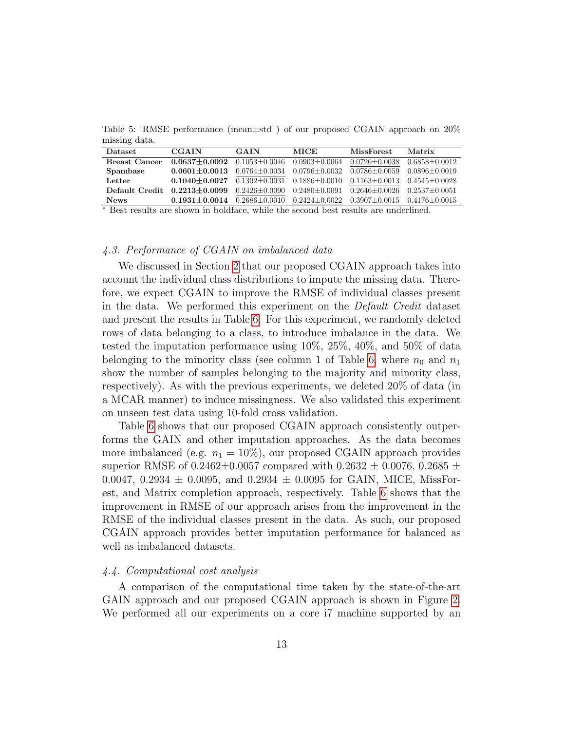<span id="page-12-0"></span>Table 5: RMSE performance (mean±std ) of our proposed CGAIN approach on 20% missing data.

| <b>Dataset</b>                             | <b>CGAIN</b>                                                                    | GAIN                                                                                      | <b>MICE</b>                             | <b>MissForest</b>               | Matrix            |
|--------------------------------------------|---------------------------------------------------------------------------------|-------------------------------------------------------------------------------------------|-----------------------------------------|---------------------------------|-------------------|
| <b>Breast Cancer</b>                       | $0.0637 + 0.0092$ $0.1053 + 0.0046$                                             |                                                                                           | 0.0903+0.0064                           | $0.0726 + 0.0038$               | $0.6858 + 0.0012$ |
| Spambase                                   | $0.0601 + 0.0013$                                                               |                                                                                           | $0.0764 \pm 0.0034$ $0.0796 \pm 0.0032$ | $0.0786 + 0.0059$               | $0.0896 + 0.0019$ |
| Letter                                     | $0.1040 + 0.0027$ $0.1302 + 0.0031$ $0.1886 + 0.0010$                           |                                                                                           |                                         | $0.1163 + 0.0013$               | $0.4545 + 0.0028$ |
| Default Credit                             | $0.2213 \pm 0.0099$ $0.2426 \pm 0.0090$ $0.2480 \pm 0.0091$ $0.2646 \pm 0.0026$ |                                                                                           |                                         |                                 | $0.2537 + 0.0051$ |
| <b>News</b><br>$\sim$ $\sim$ $\sim$ $\sim$ | $0.1931 + 0.0014$<br>.                                                          | $0.2686 \pm 0.0010$ $0.2424 \pm 0.0022$<br>$\mathbf{a}$ and $\mathbf{a}$ and $\mathbf{a}$ | $\sim$                                  | $0.3907+0.0015$ $0.4176+0.0015$ | .                 |

<sup>∗</sup> Best results are shown in boldface, while the second best results are underlined.

## 4.3. Performance of CGAIN on imbalanced data

We discussed in Section [2](#page-2-0) that our proposed CGAIN approach takes into account the individual class distributions to impute the missing data. Therefore, we expect CGAIN to improve the RMSE of individual classes present in the data. We performed this experiment on the Default Credit dataset and present the results in Table [6.](#page-13-1) For this experiment, we randomly deleted rows of data belonging to a class, to introduce imbalance in the data. We tested the imputation performance using 10%, 25%, 40%, and 50% of data belonging to the minority class (see column 1 of Table [6,](#page-13-1) where  $n_0$  and  $n_1$ show the number of samples belonging to the majority and minority class, respectively). As with the previous experiments, we deleted 20% of data (in a MCAR manner) to induce missingness. We also validated this experiment on unseen test data using 10-fold cross validation.

Table [6](#page-13-1) shows that our proposed CGAIN approach consistently outperforms the GAIN and other imputation approaches. As the data becomes more imbalanced (e.g.  $n_1 = 10\%$ ), our proposed CGAIN approach provides superior RMSE of 0.2462 $\pm$ 0.0057 compared with 0.2632  $\pm$  0.0076, 0.2685  $\pm$ 0.0047, 0.2934  $\pm$  0.0095, and 0.2934  $\pm$  0.0095 for GAIN, MICE, MissForest, and Matrix completion approach, respectively. Table [6](#page-13-1) shows that the improvement in RMSE of our approach arises from the improvement in the RMSE of the individual classes present in the data. As such, our proposed CGAIN approach provides better imputation performance for balanced as well as imbalanced datasets.

#### 4.4. Computational cost analysis

A comparison of the computational time taken by the state-of-the-art GAIN approach and our proposed CGAIN approach is shown in Figure [2.](#page-13-2) We performed all our experiments on a core i7 machine supported by an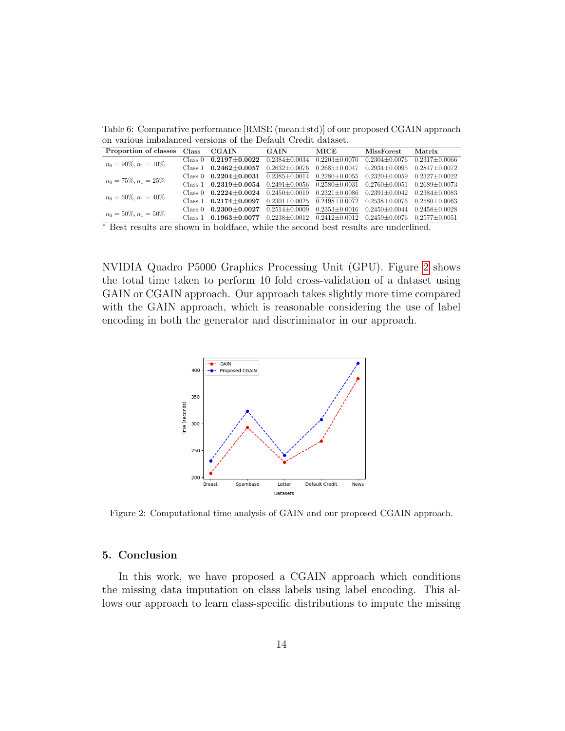<span id="page-13-1"></span>Table 6: Comparative performance [RMSE (mean±std)] of our proposed CGAIN approach on various imbalanced versions of the Default Credit dataset.

| Proportion of classes    | Class   | <b>CGAIN</b>        | <b>GAIN</b>             | MICE                | <b>MissForest</b>   | Matrix              |
|--------------------------|---------|---------------------|-------------------------|---------------------|---------------------|---------------------|
| $n_0 = 90\%, n_1 = 10\%$ | Class 0 | $0.2197 + 0.0022$   | $0.2384 + 0.0034$       | $0.2203 \pm 0.0070$ | $0.2304 + 0.0076$   | $0.2317 \pm 0.0066$ |
|                          | Class 1 | $0.2462 \pm 0.0057$ | $0.2632 \pm 0.0076$     | $0.2685 \pm 0.0047$ | $0.2934 \pm 0.0095$ | $0.2847 + 0.0072$   |
| $n_0 = 75\%, n_1 = 25\%$ | Class 0 | $0.2204 \pm 0.0031$ | $0.2385 \pm 0.0014$     | $0.2280 \pm 0.0055$ | $0.2320 \pm 0.0059$ | $0.2327 + 0.0022$   |
|                          | Class 1 | $0.2319 \pm 0.0054$ | $0.2491 + 0.0056$       | $0.2580 \pm 0.0031$ | $0.2760 \pm 0.0051$ | $0.2689 \pm 0.0073$ |
| $n_0 = 60\%, n_1 = 40\%$ | Class 0 | $0.2224 \pm 0.0024$ | $0.2450 \pm 0.0019$     | $0.2321 \pm 0.0086$ | $0.2391 \pm 0.0042$ | $0.2384 + 0.0083$   |
|                          | Class 1 | $0.2174 \pm 0.0097$ | $0.2301 \pm 0.0025$     | $0.2498 \pm 0.0072$ | $0.2538 \pm 0.0076$ | $0.2580 + 0.0063$   |
| $n_0 = 50\%, n_1 = 50\%$ | Class 0 | $0.2300 + 0.0027$   | $0.2514 + 0.0009$       | $0.2353\pm0.0016$   | $0.2450 + 0.0044$   | $0.2458 + 0.0028$   |
|                          | Class 1 | $0.1963 + 0.0077$   | $0.2238 + 0.0012$       | $0.2412 + 0.0012$   | $0.2459 + 0.0076$   | $0.2577 + 0.0051$   |
| $*$ $\blacksquare$<br>11 |         | 1.11c               | $\cdot$ 1<br>$\sqrt{1}$ | $\mathbf{1}$        | $1 \quad 1$         |                     |

<sup>∗</sup> Best results are shown in boldface, while the second best results are underlined.

NVIDIA Quadro P5000 Graphics Processing Unit (GPU). Figure [2](#page-13-2) shows the total time taken to perform 10 fold cross-validation of a dataset using GAIN or CGAIN approach. Our approach takes slightly more time compared with the GAIN approach, which is reasonable considering the use of label encoding in both the generator and discriminator in our approach.



<span id="page-13-2"></span>Figure 2: Computational time analysis of GAIN and our proposed CGAIN approach.

## <span id="page-13-0"></span>5. Conclusion

In this work, we have proposed a CGAIN approach which conditions the missing data imputation on class labels using label encoding. This allows our approach to learn class-specific distributions to impute the missing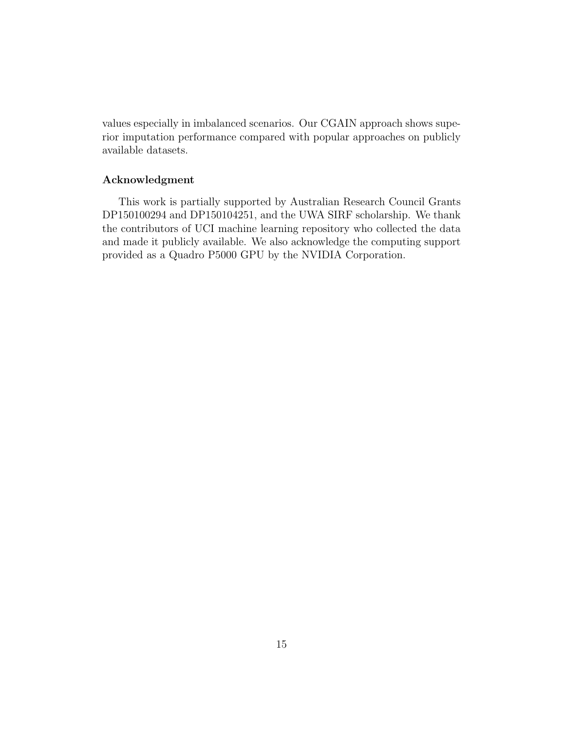values especially in imbalanced scenarios. Our CGAIN approach shows superior imputation performance compared with popular approaches on publicly available datasets.

# Acknowledgment

This work is partially supported by Australian Research Council Grants DP150100294 and DP150104251, and the UWA SIRF scholarship. We thank the contributors of UCI machine learning repository who collected the data and made it publicly available. We also acknowledge the computing support provided as a Quadro P5000 GPU by the NVIDIA Corporation.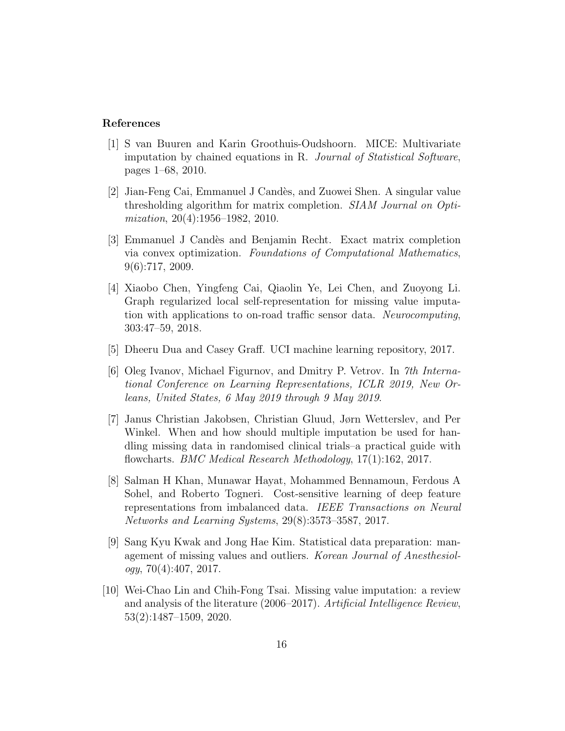### References

- <span id="page-15-2"></span>[1] S van Buuren and Karin Groothuis-Oudshoorn. MICE: Multivariate imputation by chained equations in R. Journal of Statistical Software, pages 1–68, 2010.
- <span id="page-15-7"></span>[2] Jian-Feng Cai, Emmanuel J Cand`es, and Zuowei Shen. A singular value thresholding algorithm for matrix completion. SIAM Journal on Optimization, 20(4):1956–1982, 2010.
- <span id="page-15-8"></span>[3] Emmanuel J Cand`es and Benjamin Recht. Exact matrix completion via convex optimization. Foundations of Computational Mathematics, 9(6):717, 2009.
- <span id="page-15-5"></span>[4] Xiaobo Chen, Yingfeng Cai, Qiaolin Ye, Lei Chen, and Zuoyong Li. Graph regularized local self-representation for missing value imputation with applications to on-road traffic sensor data. Neurocomputing, 303:47–59, 2018.
- <span id="page-15-9"></span>[5] Dheeru Dua and Casey Graff. UCI machine learning repository, 2017.
- <span id="page-15-4"></span>[6] Oleg Ivanov, Michael Figurnov, and Dmitry P. Vetrov. In 7th International Conference on Learning Representations, ICLR 2019, New Orleans, United States, 6 May 2019 through 9 May 2019.
- <span id="page-15-1"></span>[7] Janus Christian Jakobsen, Christian Gluud, Jørn Wetterslev, and Per Winkel. When and how should multiple imputation be used for handling missing data in randomised clinical trials–a practical guide with flowcharts. BMC Medical Research Methodology, 17(1):162, 2017.
- <span id="page-15-3"></span>[8] Salman H Khan, Munawar Hayat, Mohammed Bennamoun, Ferdous A Sohel, and Roberto Togneri. Cost-sensitive learning of deep feature representations from imbalanced data. IEEE Transactions on Neural Networks and Learning Systems, 29(8):3573–3587, 2017.
- <span id="page-15-0"></span>[9] Sang Kyu Kwak and Jong Hae Kim. Statistical data preparation: management of missing values and outliers. Korean Journal of Anesthesiol $oqu, 70(4):407, 2017.$
- <span id="page-15-6"></span>[10] Wei-Chao Lin and Chih-Fong Tsai. Missing value imputation: a review and analysis of the literature (2006–2017). Artificial Intelligence Review, 53(2):1487–1509, 2020.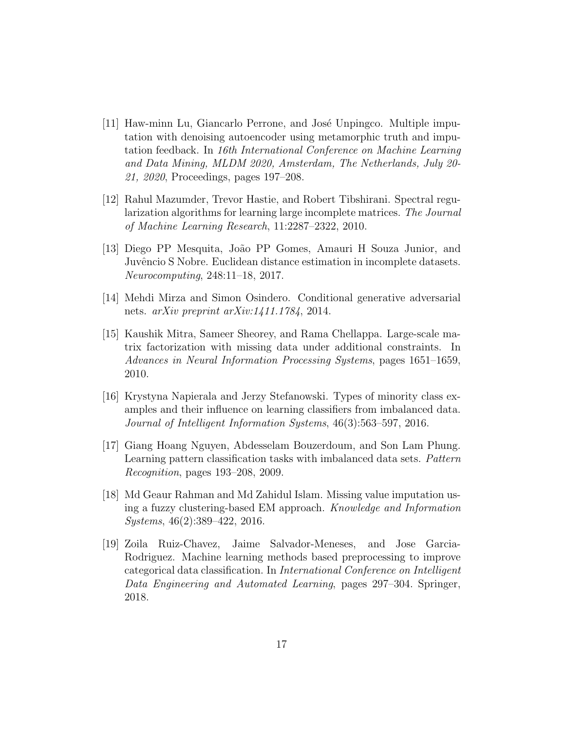- <span id="page-16-7"></span>[11] Haw-minn Lu, Giancarlo Perrone, and José Unpingco. Multiple imputation with denoising autoencoder using metamorphic truth and imputation feedback. In 16th International Conference on Machine Learning and Data Mining, MLDM 2020, Amsterdam, The Netherlands, July 20- 21, 2020, Proceedings, pages 197–208.
- <span id="page-16-5"></span>[12] Rahul Mazumder, Trevor Hastie, and Robert Tibshirani. Spectral regularization algorithms for learning large incomplete matrices. The Journal of Machine Learning Research, 11:2287–2322, 2010.
- <span id="page-16-0"></span>[13] Diego PP Mesquita, João PP Gomes, Amauri H Souza Junior, and Juvêncio S Nobre. Euclidean distance estimation in incomplete datasets. Neurocomputing, 248:11–18, 2017.
- <span id="page-16-8"></span>[14] Mehdi Mirza and Simon Osindero. Conditional generative adversarial nets.  $arXiv$  preprint  $arXiv:1411.1784$ , 2014.
- <span id="page-16-6"></span>[15] Kaushik Mitra, Sameer Sheorey, and Rama Chellappa. Large-scale matrix factorization with missing data under additional constraints. In Advances in Neural Information Processing Systems, pages 1651–1659, 2010.
- <span id="page-16-4"></span>[16] Krystyna Napierala and Jerzy Stefanowski. Types of minority class examples and their influence on learning classifiers from imbalanced data. Journal of Intelligent Information Systems, 46(3):563–597, 2016.
- <span id="page-16-3"></span>[17] Giang Hoang Nguyen, Abdesselam Bouzerdoum, and Son Lam Phung. Learning pattern classification tasks with imbalanced data sets. Pattern Recognition, pages 193–208, 2009.
- <span id="page-16-2"></span>[18] Md Geaur Rahman and Md Zahidul Islam. Missing value imputation using a fuzzy clustering-based EM approach. Knowledge and Information Systems, 46(2):389–422, 2016.
- <span id="page-16-1"></span>[19] Zoila Ruiz-Chavez, Jaime Salvador-Meneses, and Jose Garcia-Rodriguez. Machine learning methods based preprocessing to improve categorical data classification. In International Conference on Intelligent Data Engineering and Automated Learning, pages 297–304. Springer, 2018.